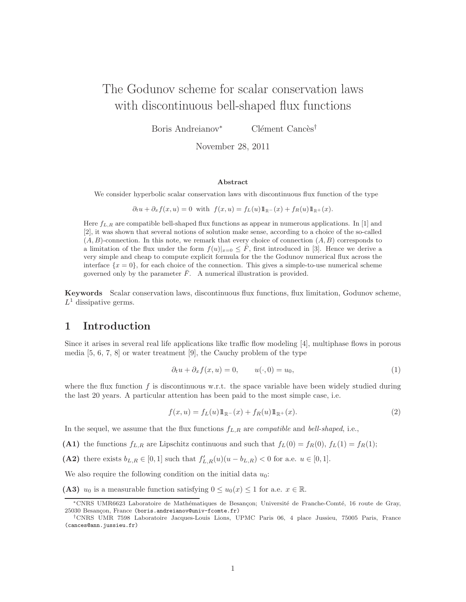# The Godunov scheme for scalar conservation laws with discontinuous bell-shaped flux functions

Boris Andreianov<sup>∗</sup> Clément Cancès<sup>†</sup>

November 28, 2011

#### Abstract

We consider hyperbolic scalar conservation laws with discontinuous flux function of the type

$$
\partial_t u + \partial_x f(x, u) = 0 \quad \text{with} \quad f(x, u) = f_L(u) \mathbb{1}_{\mathbb{R}^+}(x) + f_R(u) \mathbb{1}_{\mathbb{R}^+}(x).
$$

Here  $f_{L,R}$  are compatible bell-shaped flux functions as appear in numerous applications. In [1] and [2], it was shown that several notions of solution make sense, according to a choice of the so-called  $(A, B)$ -connection. In this note, we remark that every choice of connection  $(A, B)$  corresponds to a limitation of the flux under the form  $f(u)|_{x=0} \leq \bar{F}$ , first introduced in [3]. Hence we derive a very simple and cheap to compute explicit formula for the the Godunov numerical flux across the interface  $\{x = 0\}$ , for each choice of the connection. This gives a simple-to-use numerical scheme governed only by the parameter  $\bar{F}$ . A numerical illustration is provided.

Keywords Scalar conservation laws, discontinuous flux functions, flux limitation, Godunov scheme,  $L^1$  dissipative germs.

#### 1 Introduction

Since it arises in several real life applications like traffic flow modeling [4], multiphase flows in porous media [5, 6, 7, 8] or water treatment [9], the Cauchy problem of the type

$$
\partial_t u + \partial_x f(x, u) = 0, \qquad u(\cdot, 0) = u_0,\tag{1}
$$

where the flux function f is discontinuous w.r.t. the space variable have been widely studied during the last 20 years. A particular attention has been paid to the most simple case, i.e.

$$
f(x, u) = f_L(u) 1\!\!1_{\mathbb{R}^+}(x) + f_R(u) 1\!\!1_{\mathbb{R}^+}(x).
$$
\n(2)

In the sequel, we assume that the flux functions  $f_{L,R}$  are *compatible* and *bell-shaped*, i.e.,

(A1) the functions  $f_{L,R}$  are Lipschitz continuous and such that  $f_L(0) = f_R(0)$ ,  $f_L(1) = f_R(1)$ ;

(A2) there exists  $b_{L,R} \in [0,1]$  such that  $f'_{L,R}(u)(u - b_{L,R}) < 0$  for a.e.  $u \in [0,1]$ .

We also require the following condition on the initial data  $u_0$ :

(A3)  $u_0$  is a measurable function satisfying  $0 \le u_0(x) \le 1$  for a.e.  $x \in \mathbb{R}$ .

<sup>\*</sup>CNRS UMR6623 Laboratoire de Mathématiques de Besançon; Université de Franche-Comté, 16 route de Gray, 25030 Besançon, France (boris.andreianov@univ-fcomte.fr)

<sup>†</sup>CNRS UMR 7598 Laboratoire Jacques-Louis Lions, UPMC Paris 06, 4 place Jussieu, 75005 Paris, France (cances@ann.jussieu.fr)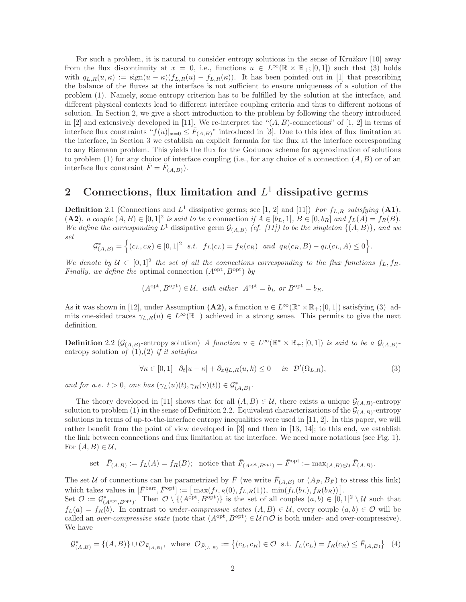For such a problem, it is natural to consider entropy solutions in the sense of Kružkov [10] away from the flux discontinuity at  $x = 0$ , i.e., functions  $u \in L^{\infty}(\mathbb{R} \times \mathbb{R}_{+}; [0,1])$  such that (3) holds with  $q_{L,R}(u,\kappa) := \text{sign}(u-\kappa)(f_{L,R}(u) - f_{L,R}(\kappa))$ . It has been pointed out in [1] that prescribing the balance of the fluxes at the interface is not sufficient to ensure uniqueness of a solution of the problem (1). Namely, some entropy criterion has to be fulfilled by the solution at the interface, and different physical contexts lead to different interface coupling criteria and thus to different notions of solution. In Section 2, we give a short introduction to the problem by following the theory introduced in [2] and extensively developed in [11]. We re-interpret the " $(A, B)$ -connections" of [1, 2] in terms of interface flux constraints " $f(u)|_{x=0} \leq \overline{F}_{(A,B)}$ " introduced in [3]. Due to this idea of flux limitation at the interface, in Section 3 we establish an explicit formula for the flux at the interface corresponding to any Riemann problem. This yields the flux for the Godunov scheme for approximation of solutions to problem (1) for any choice of interface coupling (i.e., for any choice of a connection  $(A, B)$  or of an interface flux constraint  $\bar{F} = \bar{F}_{(A,B)}$ .

## 2 Connections, flux limitation and  $L<sup>1</sup>$  dissipative germs

**Definition** 2.1 (Connections and  $L^1$  dissipative germs; see [1, 2] and [11]) For  $f_{L,R}$  satisfying  $($ **A1** $)$ , (A2), a couple  $(A, B) \in [0, 1]^2$  is said to be a connection if  $A \in [b_L, 1]$ ,  $B \in [0, b_R]$  and  $f_L(A) = f_R(B)$ . We define the corresponding  $L^1$  dissipative germ  $\mathcal{G}_{(A,B)}$  (cf. [11]) to be the singleton  $\{(A, B)\}$ , and we set

$$
\mathcal{G}_{(A,B)}^* = \Big\{ (c_L, c_R) \in [0, 1]^2 \text{ s.t. } f_L(c_L) = f_R(c_R) \text{ and } q_R(c_R, B) - q_L(c_L, A) \le 0 \Big\}.
$$

We denote by  $U \subset [0,1]^2$  the set of all the connections corresponding to the flux functions  $f_L, f_R$ . Finally, we define the optimal connection  $(A^{opt}, B^{opt})$  by

$$
(A^{\text{opt}}, B^{\text{opt}}) \in \mathcal{U}
$$
, with either  $A^{\text{opt}} = b_L$  or  $B^{\text{opt}} = b_R$ .

As it was shown in [12], under Assumption (A2), a function  $u \in L^{\infty}(\mathbb{R}^* \times \mathbb{R}_+; [0,1])$  satisfying (3) admits one-sided traces  $\gamma_{L,R}(u) \in L^{\infty}(\mathbb{R}_+)$  achieved in a strong sense. This permits to give the next definition.

**Definition** 2.2  $(\mathcal{G}_{(A,B)}$ -entropy solution) A function  $u \in L^{\infty}(\mathbb{R}^* \times \mathbb{R}_+; [0,1])$  is said to be a  $\mathcal{G}_{(A,B)}$ entropy solution of  $(1),(2)$  if it satisfies

$$
\forall \kappa \in [0,1] \quad \partial_t |u - \kappa| + \partial_x q_{L,R}(u,k) \le 0 \quad in \quad \mathcal{D}'(\Omega_{L,R}), \tag{3}
$$

and for a.e.  $t > 0$ , one has  $(\gamma_L(u)(t), \gamma_R(u)(t)) \in \mathcal{G}^*_{(A,B)}$ .

The theory developed in [11] shows that for all  $(A, B) \in \mathcal{U}$ , there exists a unique  $\mathcal{G}_{(A,B)}$ -entropy solution to problem (1) in the sense of Definition 2.2. Equivalent characterizations of the  $\mathcal{G}_{(A,B)}$ -entropy solutions in terms of up-to-the-interface entropy inequalities were used in [11, 2]. In this paper, we will rather benefit from the point of view developed in [3] and then in [13, 14]; to this end, we establish the link between connections and flux limitation at the interface. We need more notations (see Fig. 1). For  $(A, B) \in \mathcal{U}$ ,

set 
$$
\overline{F}_{(A,B)} := f_L(A) = f_R(B)
$$
; notice that  $\overline{F}_{(A^{\text{opt}}, B^{\text{opt}})} = \overline{F}^{\text{opt}} := \max_{(A,B)\in\mathcal{U}} \overline{F}_{(A,B)}$ .

The set U of connections can be parametrized by  $\bar{F}$  (we write  $\bar{F}_{(A,B)}$  or  $(A_{\bar{F}}, B_{\bar{F}})$  to stress this link) which takes values in  $[\bar{F}^{barr}, \bar{F}^{opt}] := [\max(f_{L,R}(0), f_{L,R}(1)), \min(f_L(b_L), f_R(b_R))]$ .

Set  $\mathcal{O} := \mathcal{G}^*_{(A^{\text{opt}}, B^{\text{opt}})}$ . Then  $\mathcal{O} \setminus \{(A^{\text{opt}}, B^{\text{opt}})\}\$ is the set of all couples  $(a, b) \in [0, 1]^2 \setminus \mathcal{U}$  such that  $f_L(a) = f_R(b)$ . In contrast to *under-compressive states*  $(A, B) \in \mathcal{U}$ , every couple  $(a, b) \in \mathcal{O}$  will be called an *over-compressive state* (note that  $(A^{opt}, B^{opt}) \in \mathcal{U} \cap \mathcal{O}$  is both under- and over-compressive). We have

$$
\mathcal{G}^*_{(A,B)} = \{(A,B)\} \cup \mathcal{O}_{\bar{F}_{(A,B)}}, \text{ where } \mathcal{O}_{\bar{F}_{(A,B)}} := \{(c_L,c_R) \in \mathcal{O} \text{ s.t. } f_L(c_L) = f_R(c_R) \le \bar{F}_{(A,B)}\} \tag{4}
$$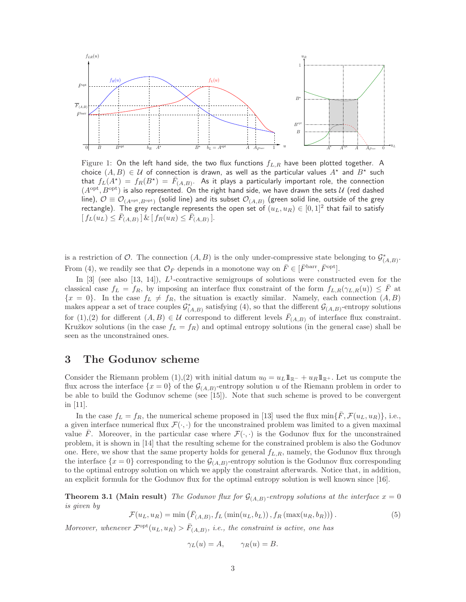

Figure 1: On the left hand side, the two flux functions  $f_{L,R}$  have been plotted together. A choice  $(A, B) \in \mathcal{U}$  of connection is drawn, as well as the particular values  $A^*$  and  $B^*$  such that  $f_L(A^{\star})^{'}=f_R(B^{\star})=\bar{F}_{(A,B)}.$  As it plays a particularly important role, the connection  $(A^{\text{opt}}, B^{\text{opt}})$  is also represented. On the right hand side, we have drawn the sets U (red dashed line),  $\mathcal{O} \equiv \mathcal{O}_{(A^{\text{opt}},B^{\text{opt}})}$  (solid line) and its subset  $\mathcal{O}_{(A,B)}$  (green solid line, outside of the grey rectangle). The grey rectangle represents the open set of  $(u_L, u_R) \in [0, 1]^2$  that fail to satisfy  $[f_L(u_L) \leq \bar{F}_{(A,B)}] \& [f_R(u_R) \leq \bar{F}_{(A,B)}].$ 

is a restriction of  $\mathcal{O}$ . The connection  $(A, B)$  is the only under-compressive state belonging to  $\mathcal{G}^*_{(A,B)}$ . From (4), we readily see that  $\mathcal{O}_{\bar{F}}$  depends in a monotone way on  $\bar{F} \in [\bar{F}^{\text{barr}}, \bar{F}^{\text{opt}}]$ .

In [3] (see also [13, 14]),  $L^1$ -contractive semigroups of solutions were constructed even for the classical case  $f_L = f_R$ , by imposing an interface flux constraint of the form  $f_{L,R}(\gamma_{L,R}(u)) \leq F$  at  ${x = 0}$ . In the case  $f_L \neq f_R$ , the situation is exactly similar. Namely, each connection  $(A, B)$ makes appear a set of trace couples  $\mathcal{G}^*_{(A,B)}$  satisfying (4), so that the different  $\mathcal{G}_{(A,B)}$ -entropy solutions for (1),(2) for different  $(A, B) \in \mathcal{U}$  correspond to different levels  $\bar{F}_{(A,B)}$  of interface flux constraint. Kružkov solutions (in the case  $f_L = f_R$ ) and optimal entropy solutions (in the general case) shall be seen as the unconstrained ones.

#### 3 The Godunov scheme

Consider the Riemann problem (1),(2) with initial datum  $u_0 = u_L \mathbb{1}_{\mathbb{R}^-} + u_R \mathbb{1}_{\mathbb{R}^+}$ . Let us compute the flux across the interface  $\{x=0\}$  of the  $\mathcal{G}_{(A,B)}$ -entropy solution u of the Riemann problem in order to be able to build the Godunov scheme (see [15]). Note that such scheme is proved to be convergent in [11].

In the case  $f_L = f_R$ , the numerical scheme proposed in [13] used the flux  $\min\{F, \mathcal{F}(u_L, u_R)\}\)$ , i.e., a given interface numerical flux  $\mathcal{F}(\cdot, \cdot)$  for the unconstrained problem was limited to a given maximal value  $\overline{F}$ . Moreover, in the particular case where  $\mathcal{F}(\cdot,\cdot)$  is the Godunov flux for the unconstrained problem, it is shown in [14] that the resulting scheme for the constrained problem is also the Godunov one. Here, we show that the same property holds for general  $f_{L,R}$ , namely, the Godunov flux through the interface  $\{x=0\}$  corresponding to the  $\mathcal{G}_{(A,B)}$ -entropy solution is the Godunov flux corresponding to the optimal entropy solution on which we apply the constraint afterwards. Notice that, in addition, an explicit formula for the Godunov flux for the optimal entropy solution is well known since [16].

**Theorem 3.1 (Main result)** The Godunov flux for  $\mathcal{G}_{(A,B)}$ -entropy solutions at the interface  $x = 0$ is given by

$$
\mathcal{F}(u_L, u_R) = \min\left(\bar{F}_{(A,B)}, f_L(\min(u_L, b_L)), f_R(\max(u_R, b_R))\right). \tag{5}
$$

Moreover, whenever  $\mathcal{F}^{\text{opt}}(u_L, u_R) > \bar{F}_{(A,B)}$ , i.e., the constraint is active, one has

$$
\gamma_L(u) = A, \qquad \gamma_R(u) = B.
$$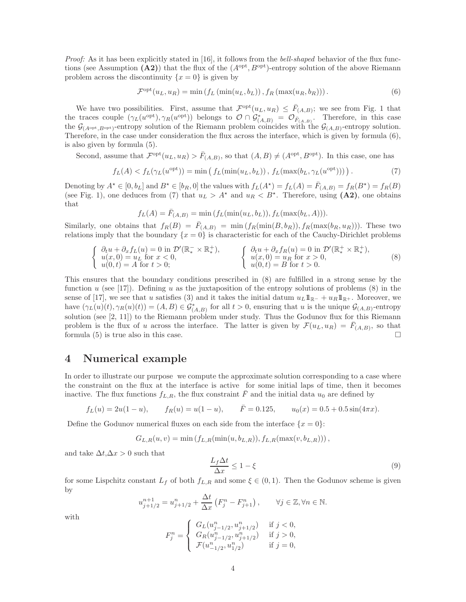Proof: As it has been explicitly stated in [16], it follows from the bell-shaped behavior of the flux functions (see Assumption (A2)) that the flux of the  $(A^{opt}, B^{opt})$ -entropy solution of the above Riemann problem across the discontinuity  $\{x=0\}$  is given by

$$
\mathcal{F}^{\text{opt}}(u_L, u_R) = \min\left(f_L\left(\min(u_L, b_L)\right), f_R\left(\max(u_R, b_R)\right)\right). \tag{6}
$$

We have two possibilities. First, assume that  $\mathcal{F}^{\text{opt}}(u_L, u_R) \leq \bar{F}_{(A,B)}$ ; we see from Fig. 1 that the traces couple  $(\gamma_L(u^{\text{opt}}), \gamma_R(u^{\text{opt}}))$  belongs to  $\mathcal{O} \cap \mathcal{G}^*_{(A,B)} = \mathcal{O}_{\bar{F}_{(A,B)}}$ . Therefore, in this case the  $\mathcal{G}_{(A^{opt},B^{opt})}$ -entropy solution of the Riemann problem coincides with the  $\mathcal{G}_{(A,B)}$ -entropy solution. Therefore, in the case under consideration the flux across the interface, which is given by formula (6), is also given by formula (5).

Second, assume that  $\mathcal{F}^{\text{opt}}(u_L, u_R) > \bar{F}_{(A,B)}$ , so that  $(A, B) \neq (A^{\text{opt}}, B^{\text{opt}})$ . In this case, one has

$$
f_L(A) < f_L(\gamma_L(u^{\text{opt}})) = \min\left(f_L(\min(u_L, b_L)), \ f_L(\max(b_L, \gamma_L(u^{\text{opt}})))\right). \tag{7}
$$

Denoting by  $A^* \in [0, b_L]$  and  $B^* \in [b_R, 0]$  the values with  $f_L(A^*) = f_L(A) = \overline{F}_{(A,B)} = f_R(B^*) = f_R(B)$ (see Fig. 1), one deduces from (7) that  $u_L > A^*$  and  $u_R < B^*$ . Therefore, using (A2), one obtains that

$$
f_L(A) = \bar{F}_{(A,B)} = \min(f_L(\min(u_L, b_L)), f_L(\max(b_L, A))).
$$

Similarly, one obtains that  $f_R(B) = \bar{F}_{(A,B)} = \min(f_R(\min(B, b_R)), f_R(\max(b_R, u_R)))$ . These two relations imply that the boundary  $\{x = 0\}$  is characteristic for each of the Cauchy-Dirichlet problems

$$
\begin{cases}\n\partial_t u + \partial_x f_L(u) = 0 \text{ in } \mathcal{D}'(\mathbb{R}^-_*) \times \mathbb{R}^+_*), \\
u(x, 0) = u_L \text{ for } x < 0, \\
u(0, t) = A \text{ for } t > 0;\n\end{cases}\n\qquad\n\begin{cases}\n\partial_t u + \partial_x f_R(u) = 0 \text{ in } \mathcal{D}'(\mathbb{R}^+_* \times \mathbb{R}^+_*), \\
u(x, 0) = u_R \text{ for } x > 0, \\
u(0, t) = B \text{ for } t > 0.\n\end{cases}\n\tag{8}
$$

This ensures that the boundary conditions prescribed in (8) are fulfilled in a strong sense by the function u (see [17]). Defining u as the juxtaposition of the entropy solutions of problems  $(8)$  in the sense of [17], we see that u satisfies (3) and it takes the initial datum  $u_L \mathbb{1}_{\mathbb{R}^-} + u_R \mathbb{1}_{\mathbb{R}^+}$ . Moreover, we have  $(\gamma_L(u)(t), \gamma_R(u)(t)) = (A, B) \in \mathcal{G}_{(A,B)}^*$  for all  $t > 0$ , ensuring that u is the unique  $\mathcal{G}_{(A,B)}$ -entropy solution (see [2, 11]) to the Riemann problem under study. Thus the Godunov flux for this Riemann problem is the flux of u across the interface. The latter is given by  $\mathcal{F}(u_L, u_R) = \bar{F}_{(A,B)}$ , so that formula (5) is true also in this case.  $\Box$ 

#### 4 Numerical example

In order to illustrate our purpose we compute the approximate solution corresponding to a case where the constraint on the flux at the interface is active for some initial laps of time, then it becomes inactive. The flux functions  $f_{L,R}$ , the flux constraint  $\bar{F}$  and the initial data  $u_0$  are defined by

$$
f_L(u) = 2u(1-u)
$$
,  $f_R(u) = u(1-u)$ ,  $\overline{F} = 0.125$ ,  $u_0(x) = 0.5 + 0.5\sin(4\pi x)$ .

Define the Godunov numerical fluxes on each side from the interface  $\{x = 0\}$ :

$$
G_{L,R}(u, v) = \min(f_{L,R}(\min(u, b_{L,R})), f_{L,R}(\max(v, b_{L,R}))),
$$

and take  $\Delta t, \Delta x > 0$  such that

$$
\frac{L_f \Delta t}{\Delta x} \le 1 - \xi \tag{9}
$$

for some Lispchitz constant  $L_f$  of both  $f_{L,R}$  and some  $\xi \in (0,1)$ . Then the Godunov scheme is given by

$$
u_{j+1/2}^{n+1} = u_{j+1/2}^n + \frac{\Delta t}{\Delta x} \left( F_j^n - F_{j+1}^n \right), \qquad \forall j \in \mathbb{Z}, \forall n \in \mathbb{N}.
$$

with

$$
F_j^n = \begin{cases} G_L(u_{j-1/2}^n, u_{j+1/2}^n) & \text{if } j < 0, \\ G_R(u_{j-1/2}^n, u_{j+1/2}^n) & \text{if } j > 0, \\ \mathcal{F}(u_{-1/2}^n, u_{1/2}^n) & \text{if } j = 0, \end{cases}
$$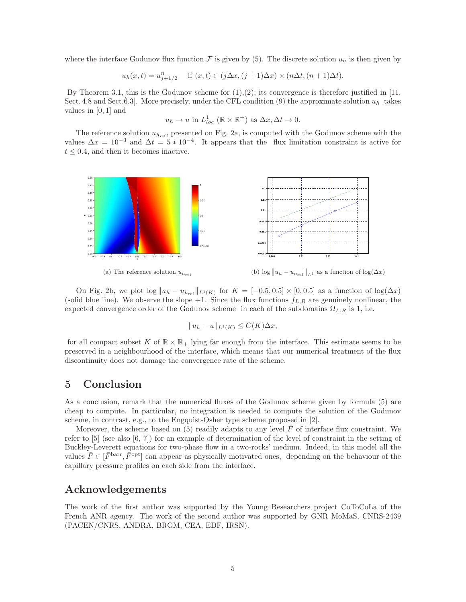where the interface Godunov flux function  $\mathcal F$  is given by (5). The discrete solution  $u_h$  is then given by

$$
u_h(x,t) = u_{j+1/2}^n \quad \text{if } (x,t) \in (j\Delta x, (j+1)\Delta x) \times (n\Delta t, (n+1)\Delta t).
$$

By Theorem 3.1, this is the Godunov scheme for  $(1),(2)$ ; its convergence is therefore justified in [11, Sect. 4.8 and Sect. 6.3]. More precisely, under the CFL condition (9) the approximate solution  $u_h$  takes values in [0, 1] and

$$
u_h \to u
$$
 in  $L^1_{loc} (\mathbb{R} \times \mathbb{R}^+)$  as  $\Delta x, \Delta t \to 0$ .

The reference solution  $u_{h_{\text{ref}}}$ , presented on Fig. 2a, is computed with the Godunov scheme with the values  $\Delta x = 10^{-3}$  and  $\Delta t = 5 * 10^{-4}$ . It appears that the flux limitation constraint is active for  $t \leq 0.4$ , and then it becomes inactive.



(a) The reference solution  $u_{h_{\text{ref}}}$ 



On Fig. 2b, we plot  $\log ||u_h - u_{h_{\text{ref}}}||_{L^1(K)}$  for  $K = [-0.5, 0.5] \times [0, 0.5]$  as a function of  $\log(\Delta x)$ (solid blue line). We observe the slope  $+1$ . Since the flux functions  $f_{L,R}$  are genuinely nonlinear, the expected convergence order of the Godunov scheme in each of the subdomains  $\Omega_{L,R}$  is 1, i.e.

$$
||u_h - u||_{L^1(K)} \le C(K)\Delta x,
$$

for all compact subset K of  $\mathbb{R} \times \mathbb{R}_+$  lying far enough from the interface. This estimate seems to be preserved in a neighbourhood of the interface, which means that our numerical treatment of the flux discontinuity does not damage the convergence rate of the scheme.

#### 5 Conclusion

As a conclusion, remark that the numerical fluxes of the Godunov scheme given by formula (5) are cheap to compute. In particular, no integration is needed to compute the solution of the Godunov scheme, in contrast, e.g., to the Engquist-Osher type scheme proposed in [2].

Moreover, the scheme based on  $(5)$  readily adapts to any level F of interface flux constraint. We refer to [5] (see also [6, 7]) for an example of determination of the level of constraint in the setting of Buckley-Leverett equations for two-phase flow in a two-rocks' medium. Indeed, in this model all the values  $\bar{F} \in [\bar{F}^{\text{barr}}, \bar{F}^{\text{opt}}]$  can appear as physically motivated ones, depending on the behaviour of the capillary pressure profiles on each side from the interface.

#### Acknowledgements

The work of the first author was supported by the Young Researchers project CoToCoLa of the French ANR agency. The work of the second author was supported by GNR MoMaS, CNRS-2439 (PACEN/CNRS, ANDRA, BRGM, CEA, EDF, IRSN).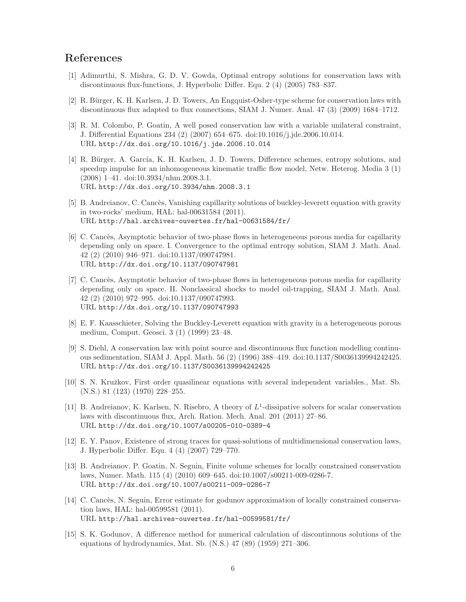### References

- [1] Adimurthi, S. Mishra, G. D. V. Gowda, Optimal entropy solutions for conservation laws with discontinuous flux-functions, J. Hyperbolic Differ. Equ. 2 (4) (2005) 783–837.
- [2] R. Bürger, K. H. Karlsen, J. D. Towers, An Engquist-Osher-type scheme for conservation laws with discontinuous flux adapted to flux connections, SIAM J. Numer. Anal. 47 (3) (2009) 1684–1712.
- [3] R. M. Colombo, P. Goatin, A well posed conservation law with a variable unilateral constraint, J. Differential Equations 234 (2) (2007) 654–675. doi:10.1016/j.jde.2006.10.014. URL http://dx.doi.org/10.1016/j.jde.2006.10.014
- [4] R. Bürger, A. García, K. H. Karlsen, J. D. Towers, Difference schemes, entropy solutions, and speedup impulse for an inhomogeneous kinematic traffic flow model, Netw. Heterog. Media 3 (1) (2008) 1–41. doi:10.3934/nhm.2008.3.1. URL http://dx.doi.org/10.3934/nhm.2008.3.1
- [5] B. Andreianov, C. Cancès, Vanishing capillarity solutions of buckley-leverett equation with gravity in two-rocks' medium, HAL: hal-00631584 (2011). URL http://hal.archives-ouvertes.fr/hal-00631584/fr/
- [6] C. Cancès, Asymptotic behavior of two-phase flows in heterogeneous porous media for capillarity depending only on space. I. Convergence to the optimal entropy solution, SIAM J. Math. Anal. 42 (2) (2010) 946–971. doi:10.1137/090747981. URL http://dx.doi.org/10.1137/090747981
- [7] C. Cancès, Asymptotic behavior of two-phase flows in heterogeneous porous media for capillarity depending only on space. II. Nonclassical shocks to model oil-trapping, SIAM J. Math. Anal. 42 (2) (2010) 972–995. doi:10.1137/090747993. URL http://dx.doi.org/10.1137/090747993
- [8] E. F. Kaasschieter, Solving the Buckley-Leverett equation with gravity in a heterogeneous porous medium, Comput. Geosci. 3 (1) (1999) 23–48.
- [9] S. Diehl, A conservation law with point source and discontinuous flux function modelling continuous sedimentation, SIAM J. Appl. Math. 56 (2) (1996) 388–419. doi:10.1137/S0036139994242425. URL http://dx.doi.org/10.1137/S0036139994242425
- [10] S. N. Kružkov, First order quasilinear equations with several independent variables., Mat. Sb. (N.S.) 81 (123) (1970) 228–255.
- [11] B. Andreianov, K. Karlsen, N. Risebro, A theory of  $L^1$ -dissipative solvers for scalar conservation laws with discontinuous flux, Arch. Ration. Mech. Anal. 201 (2011) 27–86. URL http://dx.doi.org/10.1007/s00205-010-0389-4
- [12] E. Y. Panov, Existence of strong traces for quasi-solutions of multidimensional conservation laws, J. Hyperbolic Differ. Equ. 4 (4) (2007) 729–770.
- [13] B. Andreianov, P. Goatin, N. Seguin, Finite volume schemes for locally constrained conservation laws, Numer. Math. 115 (4) (2010) 609–645. doi:10.1007/s00211-009-0286-7. URL http://dx.doi.org/10.1007/s00211-009-0286-7
- [14] C. Cancès, N. Seguin, Error estimate for godunov approximation of locally constrained conservation laws, HAL: hal-00599581 (2011). URL http://hal.archives-ouvertes.fr/hal-00599581/fr/
- [15] S. K. Godunov, A difference method for numerical calculation of discontinuous solutions of the equations of hydrodynamics, Mat. Sb. (N.S.) 47 (89) (1959) 271–306.